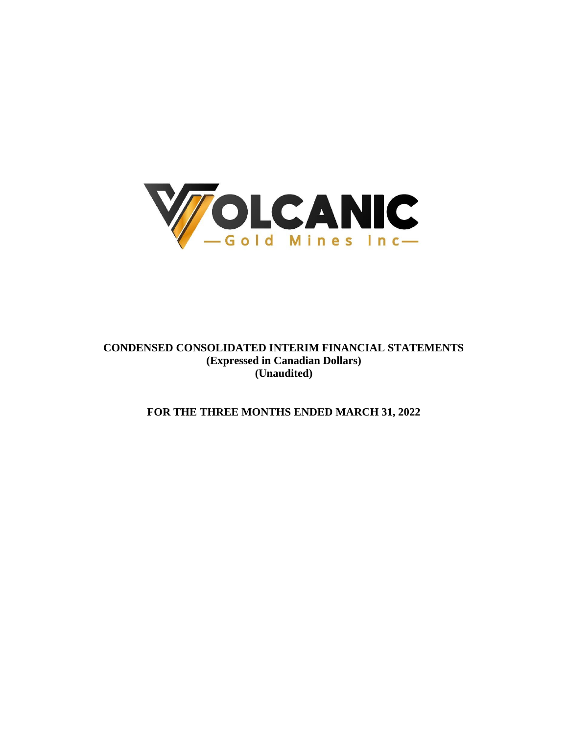

**CONDENSED CONSOLIDATED INTERIM FINANCIAL STATEMENTS (Expressed in Canadian Dollars) (Unaudited)**

**FOR THE THREE MONTHS ENDED MARCH 31, 2022**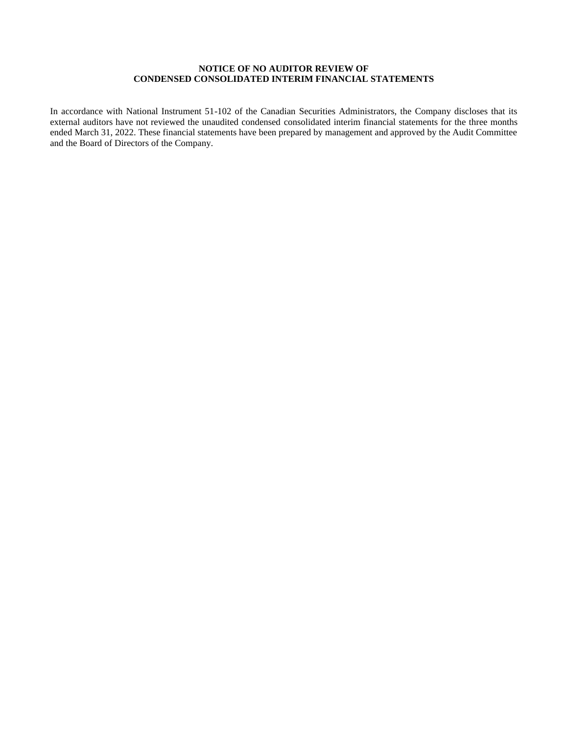# **NOTICE OF NO AUDITOR REVIEW OF CONDENSED CONSOLIDATED INTERIM FINANCIAL STATEMENTS**

In accordance with National Instrument 51-102 of the Canadian Securities Administrators, the Company discloses that its external auditors have not reviewed the unaudited condensed consolidated interim financial statements for the three months ended March 31, 2022. These financial statements have been prepared by management and approved by the Audit Committee and the Board of Directors of the Company.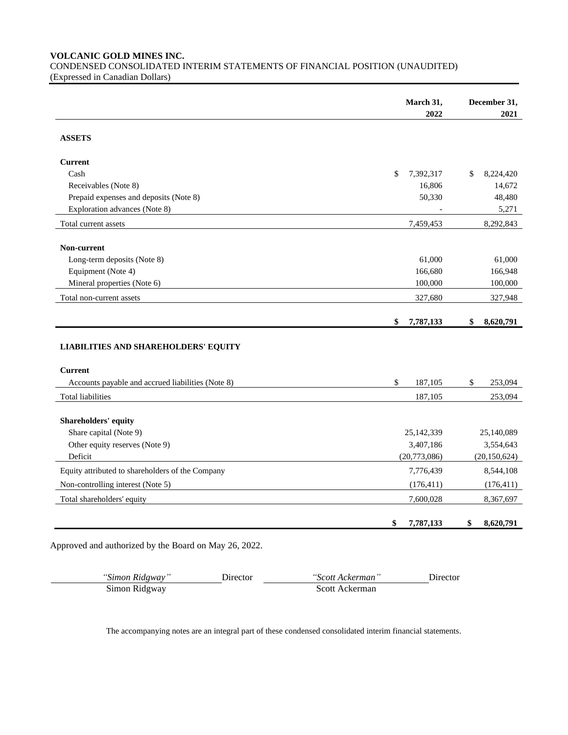**VOLCANIC GOLD MINES INC.**

CONDENSED CONSOLIDATED INTERIM STATEMENTS OF FINANCIAL POSITION (UNAUDITED) (Expressed in Canadian Dollars)

|                                                   | March 31,                | December 31,    |
|---------------------------------------------------|--------------------------|-----------------|
|                                                   | 2022                     | 2021            |
| <b>ASSETS</b>                                     |                          |                 |
| <b>Current</b>                                    |                          |                 |
| Cash                                              | \$<br>7,392,317          | \$<br>8,224,420 |
| Receivables (Note 8)                              | 16,806                   | 14,672          |
| Prepaid expenses and deposits (Note 8)            | 50,330                   | 48,480          |
| Exploration advances (Note 8)                     |                          | 5,271           |
| Total current assets                              | 7,459,453                | 8,292,843       |
| Non-current                                       |                          |                 |
| Long-term deposits (Note 8)                       | 61,000                   | 61,000          |
| Equipment (Note 4)                                | 166,680                  | 166,948         |
| Mineral properties (Note 6)                       | 100,000                  | 100,000         |
| Total non-current assets                          | 327,680                  | 327,948         |
|                                                   | \$<br>7,787,133          | \$<br>8,620,791 |
| <b>LIABILITIES AND SHAREHOLDERS' EQUITY</b>       |                          |                 |
| <b>Current</b>                                    |                          |                 |
| Accounts payable and accrued liabilities (Note 8) | $\mathsf{\$}$<br>187,105 | \$<br>253,094   |
| Total liabilities                                 | 187,105                  | 253,094         |
| <b>Shareholders' equity</b>                       |                          |                 |
| Share capital (Note 9)                            | 25,142,339               | 25,140,089      |
| Other equity reserves (Note 9)                    | 3,407,186                | 3,554,643       |
| Deficit                                           | (20,773,086)             | (20, 150, 624)  |
| Equity attributed to shareholders of the Company  | 7,776,439                | 8,544,108       |
| Non-controlling interest (Note 5)                 | (176, 411)               | (176, 411)      |
| Total shareholders' equity                        | 7,600,028                | 8,367,697       |
|                                                   | \$<br>7,787,133          | \$<br>8,620,791 |

Approved and authorized by the Board on May 26, 2022.

| "Simon Ridgway" | Jirector. | <i>"Scott Ackerman</i> " | Director |
|-----------------|-----------|--------------------------|----------|
| Simon Ridgway   |           | Scott Ackerman           |          |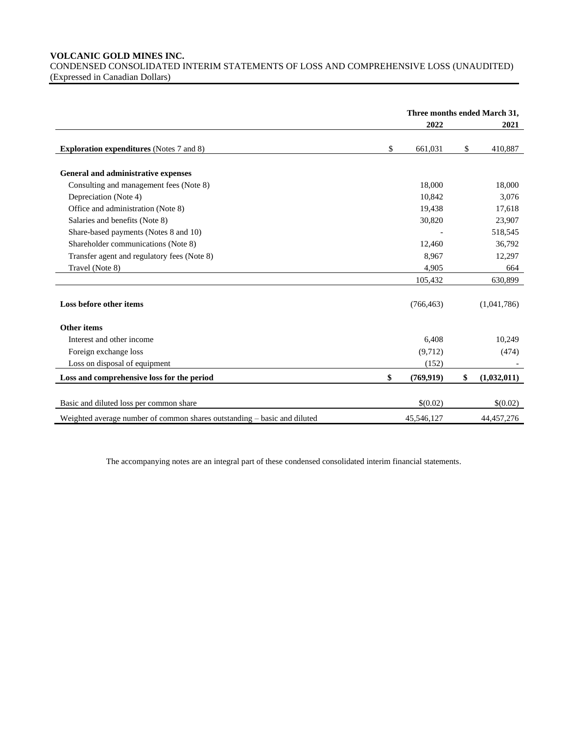# **VOLCANIC GOLD MINES INC.**

CONDENSED CONSOLIDATED INTERIM STATEMENTS OF LOSS AND COMPREHENSIVE LOSS (UNAUDITED) (Expressed in Canadian Dollars)

|                                                                          | Three months ended March 31, |            |    |              |
|--------------------------------------------------------------------------|------------------------------|------------|----|--------------|
|                                                                          |                              | 2022       |    | 2021         |
| <b>Exploration expenditures</b> (Notes 7 and 8)                          | \$                           | 661,031    | \$ | 410,887      |
| General and administrative expenses                                      |                              |            |    |              |
| Consulting and management fees (Note 8)                                  |                              | 18,000     |    | 18,000       |
| Depreciation (Note 4)                                                    |                              | 10,842     |    | 3,076        |
| Office and administration (Note 8)                                       |                              | 19,438     |    | 17,618       |
| Salaries and benefits (Note 8)                                           |                              | 30,820     |    | 23,907       |
| Share-based payments (Notes 8 and 10)                                    |                              |            |    | 518,545      |
| Shareholder communications (Note 8)                                      |                              | 12,460     |    | 36,792       |
| Transfer agent and regulatory fees (Note 8)                              |                              | 8,967      |    | 12,297       |
| Travel (Note 8)                                                          |                              | 4,905      |    | 664          |
|                                                                          |                              | 105,432    |    | 630,899      |
| Loss before other items                                                  |                              | (766, 463) |    | (1,041,786)  |
| Other items                                                              |                              |            |    |              |
| Interest and other income                                                |                              | 6,408      |    | 10,249       |
| Foreign exchange loss                                                    |                              | (9,712)    |    | (474)        |
| Loss on disposal of equipment                                            |                              | (152)      |    |              |
| Loss and comprehensive loss for the period                               | \$                           | (769, 919) | \$ | (1,032,011)  |
| Basic and diluted loss per common share                                  |                              | \$(0.02)   |    | \$(0.02)     |
| Weighted average number of common shares outstanding – basic and diluted |                              | 45,546,127 |    | 44, 457, 276 |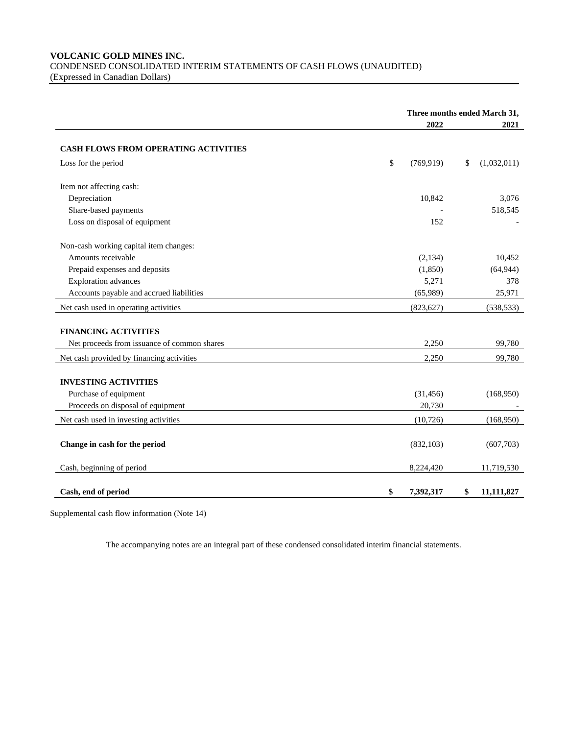# **VOLCANIC GOLD MINES INC.** CONDENSED CONSOLIDATED INTERIM STATEMENTS OF CASH FLOWS (UNAUDITED) (Expressed in Canadian Dollars)

|                                             | Three months ended March 31, |    |             |
|---------------------------------------------|------------------------------|----|-------------|
|                                             | 2022                         |    | 2021        |
| <b>CASH FLOWS FROM OPERATING ACTIVITIES</b> |                              |    |             |
| Loss for the period                         | \$<br>(769, 919)             | \$ | (1,032,011) |
| Item not affecting cash:                    |                              |    |             |
| Depreciation                                | 10,842                       |    | 3,076       |
| Share-based payments                        |                              |    | 518,545     |
| Loss on disposal of equipment               | 152                          |    |             |
| Non-cash working capital item changes:      |                              |    |             |
| Amounts receivable                          | (2,134)                      |    | 10,452      |
| Prepaid expenses and deposits               | (1,850)                      |    | (64, 944)   |
| <b>Exploration</b> advances                 | 5,271                        |    | 378         |
| Accounts payable and accrued liabilities    | (65,989)                     |    | 25,971      |
| Net cash used in operating activities       | (823, 627)                   |    | (538, 533)  |
| <b>FINANCING ACTIVITIES</b>                 |                              |    |             |
| Net proceeds from issuance of common shares | 2,250                        |    | 99,780      |
| Net cash provided by financing activities   | 2,250                        |    | 99,780      |
|                                             |                              |    |             |
| <b>INVESTING ACTIVITIES</b>                 |                              |    |             |
| Purchase of equipment                       | (31, 456)                    |    | (168,950)   |
| Proceeds on disposal of equipment           | 20,730                       |    |             |
| Net cash used in investing activities       | (10, 726)                    |    | (168,950)   |
| Change in cash for the period               | (832, 103)                   |    | (607,703)   |
| Cash, beginning of period                   | 8,224,420                    |    | 11,719,530  |
| Cash, end of period                         | \$<br>7,392,317              | \$ | 11,111,827  |

Supplemental cash flow information (Note 14)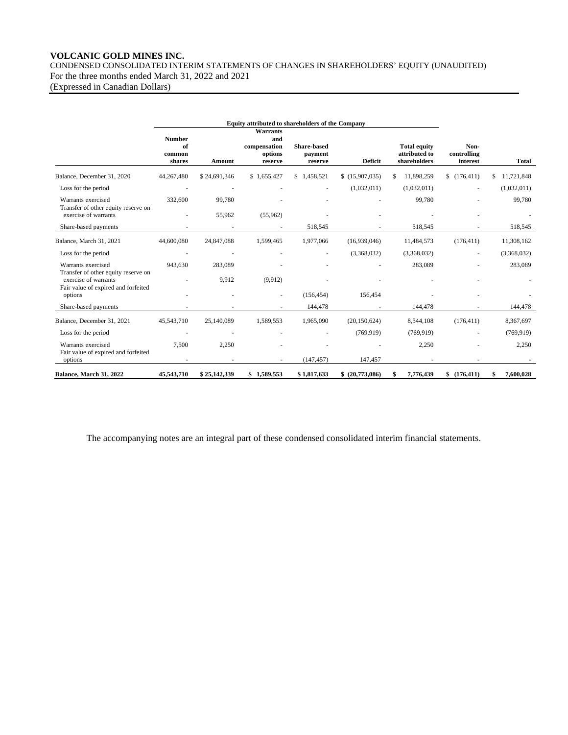# **VOLCANIC GOLD MINES INC.**

CONDENSED CONSOLIDATED INTERIM STATEMENTS OF CHANGES IN SHAREHOLDERS' EQUITY (UNAUDITED) For the three months ended March 31, 2022 and 2021

(Expressed in Canadian Dollars)

| Equity attributed to shareholders of the Company                                                   |                                         |              |                                                              |                                          |                 |                                                      |                                 |                  |
|----------------------------------------------------------------------------------------------------|-----------------------------------------|--------------|--------------------------------------------------------------|------------------------------------------|-----------------|------------------------------------------------------|---------------------------------|------------------|
|                                                                                                    | <b>Number</b><br>of<br>common<br>shares | Amount       | <b>Warrants</b><br>and<br>compensation<br>options<br>reserve | <b>Share-based</b><br>payment<br>reserve | <b>Deficit</b>  | <b>Total equity</b><br>attributed to<br>shareholders | Non-<br>controlling<br>interest | <b>Total</b>     |
| Balance, December 31, 2020                                                                         | 44,267,480                              | \$24,691,346 | \$1,655,427                                                  | \$1,458,521                              | \$(15,907,035)  | 11,898,259<br>\$                                     | \$(176, 411)                    | 11,721,848<br>S. |
| Loss for the period                                                                                | ÷                                       |              |                                                              | $\overline{\phantom{a}}$                 | (1,032,011)     | (1,032,011)                                          |                                 | (1,032,011)      |
| Warrants exercised<br>Transfer of other equity reserve on                                          | 332,600                                 | 99,780       |                                                              |                                          |                 | 99,780                                               |                                 | 99,780           |
| exercise of warrants                                                                               |                                         | 55,962       | (55,962)                                                     |                                          |                 |                                                      |                                 |                  |
| Share-based payments                                                                               |                                         |              |                                                              | 518,545                                  |                 | 518,545                                              |                                 | 518,545          |
| Balance, March 31, 2021                                                                            | 44,600,080                              | 24,847,088   | 1,599,465                                                    | 1,977,066                                | (16,939,046)    | 11,484,573                                           | (176, 411)                      | 11,308,162       |
| Loss for the period                                                                                |                                         |              |                                                              |                                          | (3,368,032)     | (3,368,032)                                          |                                 | (3,368,032)      |
| Warrants exercised                                                                                 | 943,630                                 | 283,089      |                                                              |                                          |                 | 283,089                                              |                                 | 283,089          |
| Transfer of other equity reserve on<br>exercise of warrants<br>Fair value of expired and forfeited |                                         | 9,912        | (9,912)                                                      |                                          |                 |                                                      |                                 |                  |
| options                                                                                            |                                         |              | ٠                                                            | (156, 454)                               | 156,454         |                                                      |                                 |                  |
| Share-based payments                                                                               |                                         |              |                                                              | 144,478                                  |                 | 144,478                                              |                                 | 144,478          |
| Balance, December 31, 2021                                                                         | 45,543,710                              | 25,140,089   | 1,589,553                                                    | 1,965,090                                | (20, 150, 624)  | 8,544,108                                            | (176, 411)                      | 8,367,697        |
| Loss for the period                                                                                | $\overline{\phantom{a}}$                |              |                                                              |                                          | (769, 919)      | (769, 919)                                           |                                 | (769, 919)       |
| Warrants exercised<br>Fair value of expired and forfeited                                          | 7,500                                   | 2,250        |                                                              |                                          |                 | 2,250                                                |                                 | 2,250            |
| options                                                                                            |                                         |              |                                                              | (147, 457)                               | 147,457         |                                                      |                                 |                  |
| Balance, March 31, 2022                                                                            | 45,543,710                              | \$25,142,339 | \$1,589,553                                                  | \$1,817,633                              | \$ (20,773,086) | 7,776,439<br>Я                                       | \$(176, 411)                    | 7,600,028        |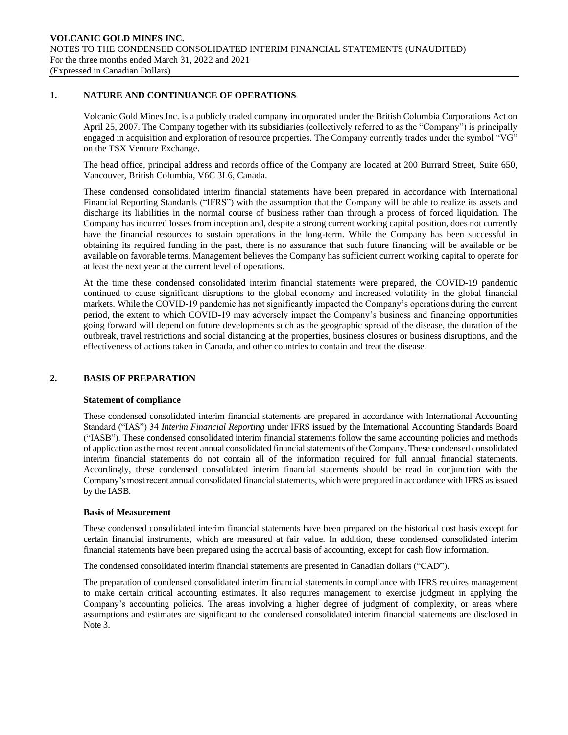## **1. NATURE AND CONTINUANCE OF OPERATIONS**

Volcanic Gold Mines Inc. is a publicly traded company incorporated under the British Columbia Corporations Act on April 25, 2007. The Company together with its subsidiaries (collectively referred to as the "Company") is principally engaged in acquisition and exploration of resource properties. The Company currently trades under the symbol "VG" on the TSX Venture Exchange.

The head office, principal address and records office of the Company are located at 200 Burrard Street, Suite 650, Vancouver, British Columbia, V6C 3L6, Canada.

These condensed consolidated interim financial statements have been prepared in accordance with International Financial Reporting Standards ("IFRS") with the assumption that the Company will be able to realize its assets and discharge its liabilities in the normal course of business rather than through a process of forced liquidation. The Company has incurred losses from inception and, despite a strong current working capital position, does not currently have the financial resources to sustain operations in the long-term. While the Company has been successful in obtaining its required funding in the past, there is no assurance that such future financing will be available or be available on favorable terms. Management believes the Company has sufficient current working capital to operate for at least the next year at the current level of operations.

At the time these condensed consolidated interim financial statements were prepared, the COVID-19 pandemic continued to cause significant disruptions to the global economy and increased volatility in the global financial markets. While the COVID-19 pandemic has not significantly impacted the Company's operations during the current period, the extent to which COVID-19 may adversely impact the Company's business and financing opportunities going forward will depend on future developments such as the geographic spread of the disease, the duration of the outbreak, travel restrictions and social distancing at the properties, business closures or business disruptions, and the effectiveness of actions taken in Canada, and other countries to contain and treat the disease.

# **2. BASIS OF PREPARATION**

## **Statement of compliance**

These condensed consolidated interim financial statements are prepared in accordance with International Accounting Standard ("IAS") 34 *Interim Financial Reporting* under IFRS issued by the International Accounting Standards Board ("IASB"). These condensed consolidated interim financial statements follow the same accounting policies and methods of application as the most recent annual consolidated financial statements of the Company. These condensed consolidated interim financial statements do not contain all of the information required for full annual financial statements. Accordingly, these condensed consolidated interim financial statements should be read in conjunction with the Company's most recent annual consolidated financial statements, which were prepared in accordance with IFRS as issued by the IASB.

## **Basis of Measurement**

These condensed consolidated interim financial statements have been prepared on the historical cost basis except for certain financial instruments, which are measured at fair value. In addition, these condensed consolidated interim financial statements have been prepared using the accrual basis of accounting, except for cash flow information.

The condensed consolidated interim financial statements are presented in Canadian dollars ("CAD").

The preparation of condensed consolidated interim financial statements in compliance with IFRS requires management to make certain critical accounting estimates. It also requires management to exercise judgment in applying the Company's accounting policies. The areas involving a higher degree of judgment of complexity, or areas where assumptions and estimates are significant to the condensed consolidated interim financial statements are disclosed in Note 3.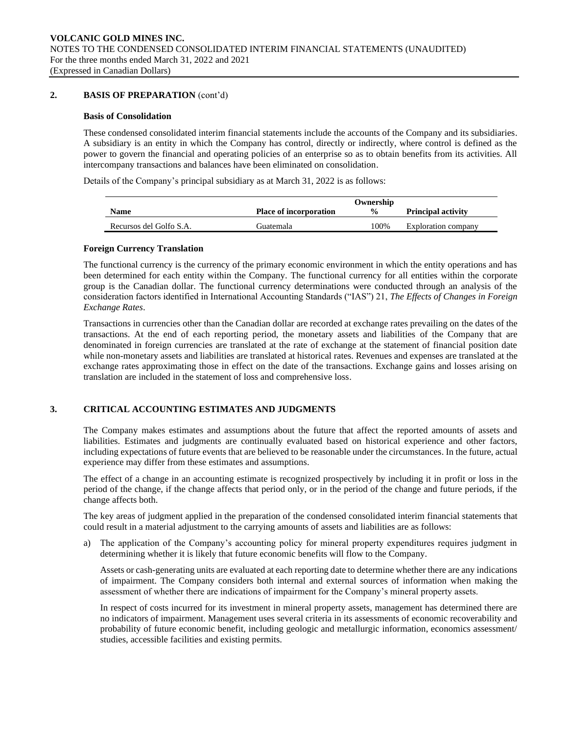## **2. BASIS OF PREPARATION** (cont'd)

## **Basis of Consolidation**

These condensed consolidated interim financial statements include the accounts of the Company and its subsidiaries. A subsidiary is an entity in which the Company has control, directly or indirectly, where control is defined as the power to govern the financial and operating policies of an enterprise so as to obtain benefits from its activities. All intercompany transactions and balances have been eliminated on consolidation.

Details of the Company's principal subsidiary as at March 31, 2022 is as follows:

|                         |                               | Ownership     |                           |
|-------------------------|-------------------------------|---------------|---------------------------|
| <b>Name</b>             | <b>Place of incorporation</b> | $\frac{0}{0}$ | <b>Principal activity</b> |
| Recursos del Golfo S.A. | Guatemala                     | 100%          | Exploration company       |

## **Foreign Currency Translation**

The functional currency is the currency of the primary economic environment in which the entity operations and has been determined for each entity within the Company. The functional currency for all entities within the corporate group is the Canadian dollar. The functional currency determinations were conducted through an analysis of the consideration factors identified in International Accounting Standards ("IAS") 21, *The Effects of Changes in Foreign Exchange Rates*.

Transactions in currencies other than the Canadian dollar are recorded at exchange rates prevailing on the dates of the transactions. At the end of each reporting period, the monetary assets and liabilities of the Company that are denominated in foreign currencies are translated at the rate of exchange at the statement of financial position date while non-monetary assets and liabilities are translated at historical rates. Revenues and expenses are translated at the exchange rates approximating those in effect on the date of the transactions. Exchange gains and losses arising on translation are included in the statement of loss and comprehensive loss.

# **3. CRITICAL ACCOUNTING ESTIMATES AND JUDGMENTS**

The Company makes estimates and assumptions about the future that affect the reported amounts of assets and liabilities. Estimates and judgments are continually evaluated based on historical experience and other factors, including expectations of future events that are believed to be reasonable under the circumstances. In the future, actual experience may differ from these estimates and assumptions.

The effect of a change in an accounting estimate is recognized prospectively by including it in profit or loss in the period of the change, if the change affects that period only, or in the period of the change and future periods, if the change affects both.

The key areas of judgment applied in the preparation of the condensed consolidated interim financial statements that could result in a material adjustment to the carrying amounts of assets and liabilities are as follows:

a) The application of the Company's accounting policy for mineral property expenditures requires judgment in determining whether it is likely that future economic benefits will flow to the Company.

Assets or cash-generating units are evaluated at each reporting date to determine whether there are any indications of impairment. The Company considers both internal and external sources of information when making the assessment of whether there are indications of impairment for the Company's mineral property assets.

In respect of costs incurred for its investment in mineral property assets, management has determined there are no indicators of impairment. Management uses several criteria in its assessments of economic recoverability and probability of future economic benefit, including geologic and metallurgic information, economics assessment/ studies, accessible facilities and existing permits.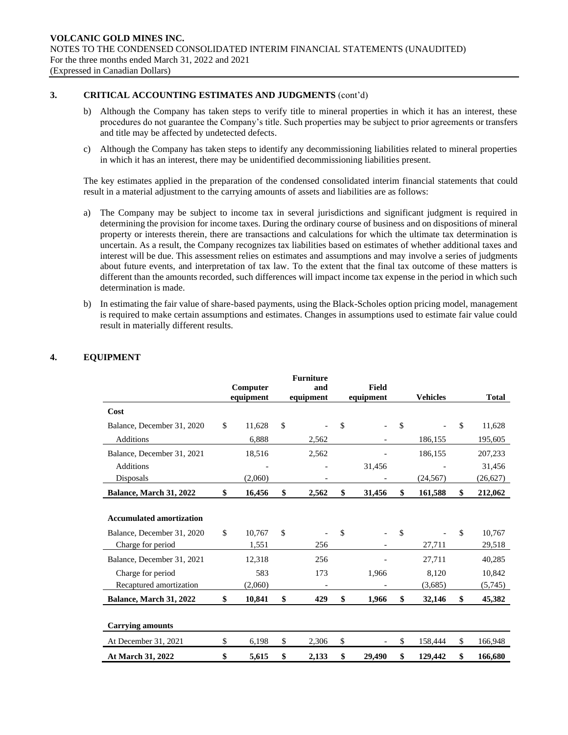# **3. CRITICAL ACCOUNTING ESTIMATES AND JUDGMENTS** (cont'd)

- b) Although the Company has taken steps to verify title to mineral properties in which it has an interest, these procedures do not guarantee the Company's title. Such properties may be subject to prior agreements or transfers and title may be affected by undetected defects.
- c) Although the Company has taken steps to identify any decommissioning liabilities related to mineral properties in which it has an interest, there may be unidentified decommissioning liabilities present.

The key estimates applied in the preparation of the condensed consolidated interim financial statements that could result in a material adjustment to the carrying amounts of assets and liabilities are as follows:

- a) The Company may be subject to income tax in several jurisdictions and significant judgment is required in determining the provision for income taxes. During the ordinary course of business and on dispositions of mineral property or interests therein, there are transactions and calculations for which the ultimate tax determination is uncertain. As a result, the Company recognizes tax liabilities based on estimates of whether additional taxes and interest will be due. This assessment relies on estimates and assumptions and may involve a series of judgments about future events, and interpretation of tax law. To the extent that the final tax outcome of these matters is different than the amounts recorded, such differences will impact income tax expense in the period in which such determination is made.
- b) In estimating the fair value of share-based payments, using the Black-Scholes option pricing model, management is required to make certain assumptions and estimates. Changes in assumptions used to estimate fair value could result in materially different results.

|                                 |              | <b>Furniture</b> |              |     |                 |               |              |
|---------------------------------|--------------|------------------|--------------|-----|-----------------|---------------|--------------|
|                                 | Computer     | and              | <b>Field</b> |     |                 |               |              |
|                                 | equipment    | equipment        | equipment    |     | <b>Vehicles</b> |               | <b>Total</b> |
| Cost                            |              |                  |              |     |                 |               |              |
| Balance, December 31, 2020      | \$<br>11,628 | \$               | \$           | \$  | $\overline{a}$  | $\mathsf{\$}$ | 11,628       |
| <b>Additions</b>                | 6.888        | 2,562            |              |     | 186,155         |               | 195,605      |
| Balance, December 31, 2021      | 18,516       | 2,562            |              |     | 186,155         |               | 207,233      |
| <b>Additions</b>                |              |                  | 31,456       |     |                 |               | 31,456       |
| Disposals                       | (2,060)      |                  |              |     | (24, 567)       |               | (26,627)     |
| Balance, March 31, 2022         | \$<br>16,456 | \$<br>2,562      | \$<br>31,456 | \$  | 161,588         | \$            | 212,062      |
|                                 |              |                  |              |     |                 |               |              |
| <b>Accumulated amortization</b> |              |                  |              |     |                 |               |              |
| Balance, December 31, 2020      | \$<br>10,767 | \$               | \$           | -\$ |                 | \$            | 10,767       |
| Charge for period               | 1,551        | 256              |              |     | 27,711          |               | 29,518       |
| Balance, December 31, 2021      | 12,318       | 256              |              |     | 27,711          |               | 40,285       |
| Charge for period               | 583          | 173              | 1,966        |     | 8,120           |               | 10,842       |
| Recaptured amortization         | (2,060)      |                  |              |     | (3,685)         |               | (5,745)      |
| Balance, March 31, 2022         | \$<br>10,841 | \$<br>429        | \$<br>1,966  | \$  | 32,146          | \$            | 45,382       |
|                                 |              |                  |              |     |                 |               |              |
| <b>Carrying amounts</b>         |              |                  |              |     |                 |               |              |
| At December 31, 2021            | \$<br>6,198  | \$<br>2,306      | \$           | \$  | 158,444         | \$            | 166,948      |
| At March 31, 2022               | \$<br>5,615  | \$<br>2,133      | \$<br>29,490 | \$  | 129,442         | \$            | 166,680      |

# **4. EQUIPMENT**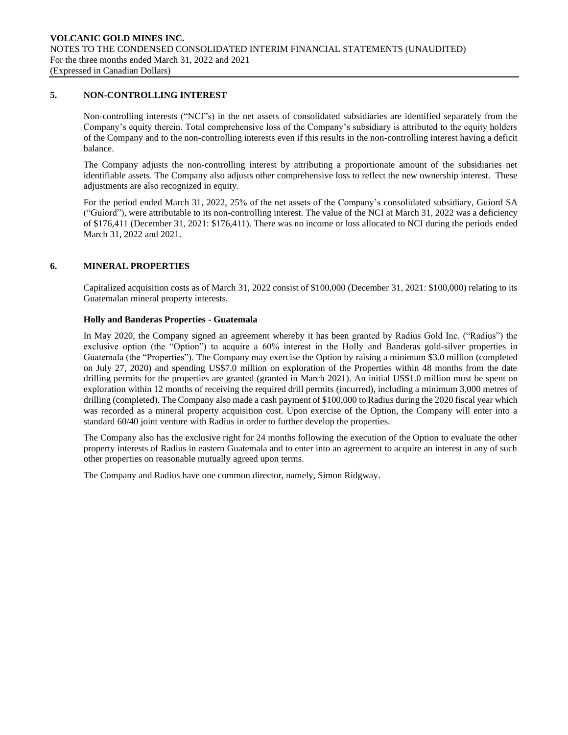# **5. NON-CONTROLLING INTEREST**

Non-controlling interests ("NCI"s) in the net assets of consolidated subsidiaries are identified separately from the Company's equity therein. Total comprehensive loss of the Company's subsidiary is attributed to the equity holders of the Company and to the non-controlling interests even if this results in the non-controlling interest having a deficit balance.

The Company adjusts the non-controlling interest by attributing a proportionate amount of the subsidiaries net identifiable assets. The Company also adjusts other comprehensive loss to reflect the new ownership interest. These adjustments are also recognized in equity.

For the period ended March 31, 2022, 25% of the net assets of the Company's consolidated subsidiary, Guiord SA ("Guiord"), were attributable to its non-controlling interest. The value of the NCI at March 31, 2022 was a deficiency of \$176,411 (December 31, 2021: \$176,411). There was no income or loss allocated to NCI during the periods ended March 31, 2022 and 2021.

## **6. MINERAL PROPERTIES**

Capitalized acquisition costs as of March 31, 2022 consist of \$100,000 (December 31, 2021: \$100,000) relating to its Guatemalan mineral property interests.

## **Holly and Banderas Properties - Guatemala**

In May 2020, the Company signed an agreement whereby it has been granted by Radius Gold Inc. ("Radius") the exclusive option (the "Option") to acquire a 60% interest in the Holly and Banderas gold-silver properties in Guatemala (the "Properties"). The Company may exercise the Option by raising a minimum \$3.0 million (completed on July 27, 2020) and spending US\$7.0 million on exploration of the Properties within 48 months from the date drilling permits for the properties are granted (granted in March 2021). An initial US\$1.0 million must be spent on exploration within 12 months of receiving the required drill permits (incurred), including a minimum 3,000 metres of drilling (completed). The Company also made a cash payment of \$100,000 to Radius during the 2020 fiscal year which was recorded as a mineral property acquisition cost. Upon exercise of the Option, the Company will enter into a standard 60/40 joint venture with Radius in order to further develop the properties.

The Company also has the exclusive right for 24 months following the execution of the Option to evaluate the other property interests of Radius in eastern Guatemala and to enter into an agreement to acquire an interest in any of such other properties on reasonable mutually agreed upon terms.

The Company and Radius have one common director, namely, Simon Ridgway.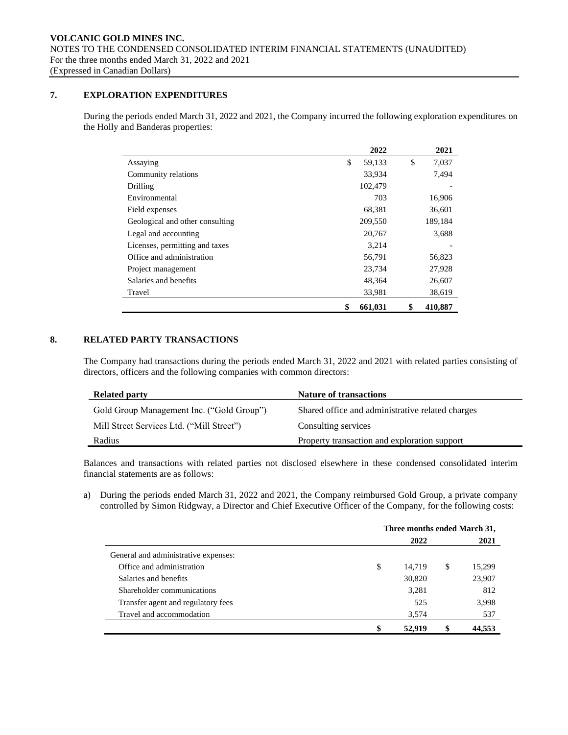# **7. EXPLORATION EXPENDITURES**

During the periods ended March 31, 2022 and 2021, the Company incurred the following exploration expenditures on the Holly and Banderas properties:

|                                 | 2022          | 2021          |
|---------------------------------|---------------|---------------|
| Assaying                        | \$<br>59,133  | \$<br>7,037   |
| Community relations             | 33,934        | 7,494         |
| Drilling                        | 102,479       |               |
| Environmental                   | 703           | 16,906        |
| Field expenses                  | 68,381        | 36,601        |
| Geological and other consulting | 209,550       | 189,184       |
| Legal and accounting            | 20,767        | 3,688         |
| Licenses, permitting and taxes  | 3,214         |               |
| Office and administration       | 56,791        | 56,823        |
| Project management              | 23,734        | 27,928        |
| Salaries and benefits           | 48,364        | 26,607        |
| Travel                          | 33,981        | 38,619        |
|                                 | \$<br>661.031 | \$<br>410.887 |

# **8. RELATED PARTY TRANSACTIONS**

The Company had transactions during the periods ended March 31, 2022 and 2021 with related parties consisting of directors, officers and the following companies with common directors:

| <b>Related party</b>                      | <b>Nature of transactions</b>                    |
|-------------------------------------------|--------------------------------------------------|
| Gold Group Management Inc. ("Gold Group") | Shared office and administrative related charges |
| Mill Street Services Ltd. ("Mill Street") | Consulting services                              |
| Radius                                    | Property transaction and exploration support     |

Balances and transactions with related parties not disclosed elsewhere in these condensed consolidated interim financial statements are as follows:

a) During the periods ended March 31, 2022 and 2021, the Company reimbursed Gold Group, a private company controlled by Simon Ridgway, a Director and Chief Executive Officer of the Company, for the following costs:

|                                      | Three months ended March 31, |        |    |        |  |
|--------------------------------------|------------------------------|--------|----|--------|--|
|                                      |                              | 2022   |    | 2021   |  |
| General and administrative expenses: |                              |        |    |        |  |
| Office and administration            | \$                           | 14,719 | \$ | 15,299 |  |
| Salaries and benefits                |                              | 30,820 |    | 23,907 |  |
| Shareholder communications           |                              | 3.281  |    | 812    |  |
| Transfer agent and regulatory fees   |                              | 525    |    | 3,998  |  |
| Travel and accommodation             |                              | 3,574  |    | 537    |  |
|                                      | \$                           | 52.919 | \$ | 44,553 |  |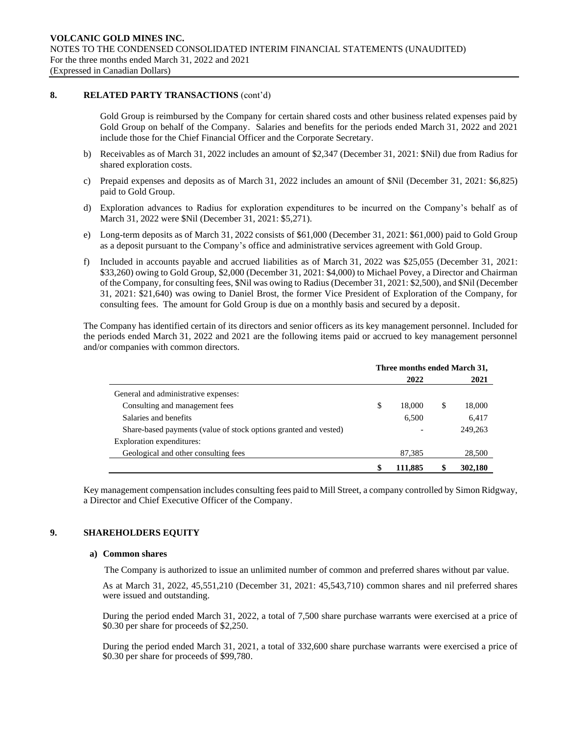## **8. RELATED PARTY TRANSACTIONS** (cont'd)

Gold Group is reimbursed by the Company for certain shared costs and other business related expenses paid by Gold Group on behalf of the Company. Salaries and benefits for the periods ended March 31, 2022 and 2021 include those for the Chief Financial Officer and the Corporate Secretary.

- b) Receivables as of March 31, 2022 includes an amount of \$2,347 (December 31, 2021: \$Nil) due from Radius for shared exploration costs.
- c) Prepaid expenses and deposits as of March 31, 2022 includes an amount of \$Nil (December 31, 2021: \$6,825) paid to Gold Group.
- d) Exploration advances to Radius for exploration expenditures to be incurred on the Company's behalf as of March 31, 2022 were \$Nil (December 31, 2021: \$5,271).
- e) Long-term deposits as of March 31, 2022 consists of \$61,000 (December 31, 2021: \$61,000) paid to Gold Group as a deposit pursuant to the Company's office and administrative services agreement with Gold Group.
- f) Included in accounts payable and accrued liabilities as of March 31, 2022 was \$25,055 (December 31, 2021: \$33,260) owing to Gold Group, \$2,000 (December 31, 2021: \$4,000) to Michael Povey, a Director and Chairman of the Company, for consulting fees, \$Nil was owing to Radius (December 31, 2021: \$2,500), and \$Nil (December 31, 2021: \$21,640) was owing to Daniel Brost, the former Vice President of Exploration of the Company, for consulting fees. The amount for Gold Group is due on a monthly basis and secured by a deposit.

The Company has identified certain of its directors and senior officers as its key management personnel. Included for the periods ended March 31, 2022 and 2021 are the following items paid or accrued to key management personnel and/or companies with common directors.

|                                                                  | Three months ended March 31, |         |   |         |
|------------------------------------------------------------------|------------------------------|---------|---|---------|
|                                                                  |                              | 2022    |   | 2021    |
| General and administrative expenses:                             |                              |         |   |         |
| Consulting and management fees                                   | \$                           | 18.000  | S | 18,000  |
| Salaries and benefits                                            |                              | 6,500   |   | 6,417   |
| Share-based payments (value of stock options granted and vested) |                              |         |   | 249,263 |
| Exploration expenditures:                                        |                              |         |   |         |
| Geological and other consulting fees                             |                              | 87,385  |   | 28,500  |
|                                                                  | S                            | 111.885 |   | 302,180 |

Key management compensation includes consulting fees paid to Mill Street, a company controlled by Simon Ridgway, a Director and Chief Executive Officer of the Company.

# **9. SHAREHOLDERS EQUITY**

## **a) Common shares**

The Company is authorized to issue an unlimited number of common and preferred shares without par value.

As at March 31, 2022, 45,551,210 (December 31, 2021: 45,543,710) common shares and nil preferred shares were issued and outstanding.

During the period ended March 31, 2022, a total of 7,500 share purchase warrants were exercised at a price of \$0.30 per share for proceeds of \$2,250.

During the period ended March 31, 2021, a total of 332,600 share purchase warrants were exercised a price of \$0.30 per share for proceeds of \$99,780.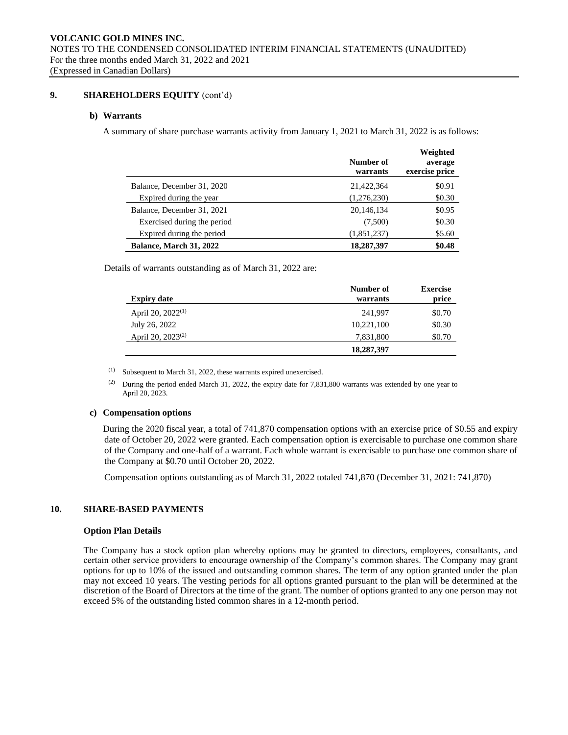## **9. SHAREHOLDERS EQUITY** (cont'd)

## **b) Warrants**

A summary of share purchase warrants activity from January 1, 2021 to March 31, 2022 is as follows:

|                                | Number of<br>warrants | Weighted<br>average<br>exercise price |
|--------------------------------|-----------------------|---------------------------------------|
| Balance, December 31, 2020     | 21,422,364            | \$0.91                                |
| Expired during the year        | (1,276,230)           | \$0.30                                |
| Balance, December 31, 2021     | 20,146,134            | \$0.95                                |
| Exercised during the period    | (7,500)               | \$0.30                                |
| Expired during the period      | (1,851,237)           | \$5.60                                |
| <b>Balance, March 31, 2022</b> | 18,287,397            | \$0.48                                |

Details of warrants outstanding as of March 31, 2022 are:

| <b>Expiry date</b>            | Number of<br>warrants | <b>Exercise</b><br>price |
|-------------------------------|-----------------------|--------------------------|
| April 20, 2022 <sup>(1)</sup> | 241.997               | \$0.70                   |
| July 26, 2022                 | 10,221,100            | \$0.30                   |
| April 20, 2023 <sup>(2)</sup> | 7,831,800             | \$0.70                   |
|                               | 18,287,397            |                          |

(1) Subsequent to March 31, 2022, these warrants expired unexercised.

(2) During the period ended March 31, 2022, the expiry date for  $7,831,800$  warrants was extended by one year to April 20, 2023.

## **c) Compensation options**

During the 2020 fiscal year, a total of 741,870 compensation options with an exercise price of \$0.55 and expiry date of October 20, 2022 were granted. Each compensation option is exercisable to purchase one common share of the Company and one-half of a warrant. Each whole warrant is exercisable to purchase one common share of the Company at \$0.70 until October 20, 2022.

Compensation options outstanding as of March 31, 2022 totaled 741,870 (December 31, 2021: 741,870)

# **10. SHARE-BASED PAYMENTS**

## **Option Plan Details**

The Company has a stock option plan whereby options may be granted to directors, employees, consultants, and certain other service providers to encourage ownership of the Company's common shares. The Company may grant options for up to 10% of the issued and outstanding common shares. The term of any option granted under the plan may not exceed 10 years. The vesting periods for all options granted pursuant to the plan will be determined at the discretion of the Board of Directors at the time of the grant. The number of options granted to any one person may not exceed 5% of the outstanding listed common shares in a 12-month period.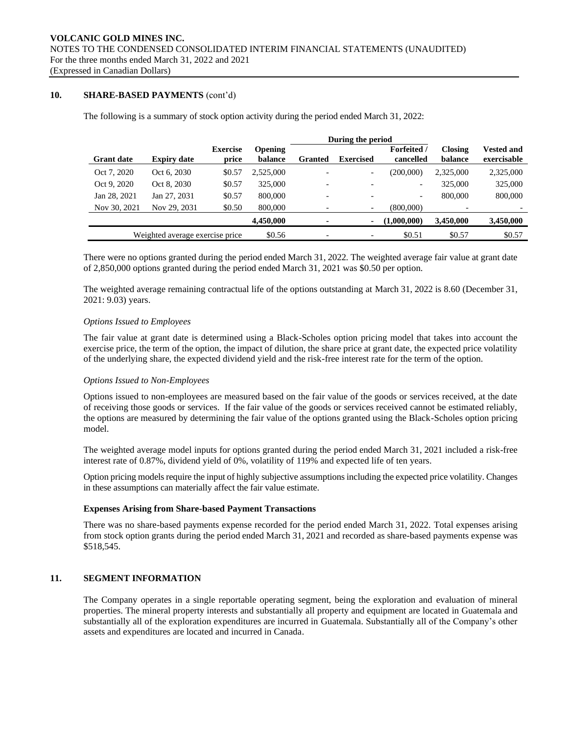# **10. SHARE-BASED PAYMENTS** (cont'd)

The following is a summary of stock option activity during the period ended March 31, 2022:

|                   |                                 |                          | During the period         |                          |                          |                                 |                           |                                  |  |
|-------------------|---------------------------------|--------------------------|---------------------------|--------------------------|--------------------------|---------------------------------|---------------------------|----------------------------------|--|
| <b>Grant date</b> | <b>Expiry date</b>              | <b>Exercise</b><br>price | <b>Opening</b><br>balance | Granted                  | <b>Exercised</b>         | <b>Forfeited</b> /<br>cancelled | <b>Closing</b><br>balance | <b>Vested and</b><br>exercisable |  |
| Oct 7, 2020       | Oct 6, 2030                     | \$0.57                   | 2,525,000                 |                          | $\overline{\phantom{a}}$ | (200,000)                       | 2,325,000                 | 2,325,000                        |  |
| Oct 9, 2020       | Oct 8, 2030                     | \$0.57                   | 325,000                   | $\overline{\phantom{0}}$ | $\overline{\phantom{a}}$ | $\overline{\phantom{0}}$        | 325,000                   | 325,000                          |  |
| Jan 28, 2021      | Jan 27, 2031                    | \$0.57                   | 800,000                   |                          | $\overline{\phantom{a}}$ | $\overline{\phantom{0}}$        | 800,000                   | 800,000                          |  |
| Nov 30, 2021      | Nov 29, 2031                    | \$0.50                   | 800,000                   |                          | $\overline{\phantom{a}}$ | (800,000)                       | $\overline{\phantom{0}}$  |                                  |  |
|                   |                                 |                          | 4,450,000                 |                          | ٠                        | (1,000,000)                     | 3,450,000                 | 3,450,000                        |  |
|                   | Weighted average exercise price |                          | \$0.56                    |                          | -                        | \$0.51                          | \$0.57                    | \$0.57                           |  |

There were no options granted during the period ended March 31, 2022. The weighted average fair value at grant date of 2,850,000 options granted during the period ended March 31, 2021 was \$0.50 per option.

The weighted average remaining contractual life of the options outstanding at March 31, 2022 is 8.60 (December 31, 2021: 9.03) years.

## *Options Issued to Employees*

The fair value at grant date is determined using a Black-Scholes option pricing model that takes into account the exercise price, the term of the option, the impact of dilution, the share price at grant date, the expected price volatility of the underlying share, the expected dividend yield and the risk-free interest rate for the term of the option.

## *Options Issued to Non-Employees*

Options issued to non-employees are measured based on the fair value of the goods or services received, at the date of receiving those goods or services. If the fair value of the goods or services received cannot be estimated reliably, the options are measured by determining the fair value of the options granted using the Black-Scholes option pricing model.

The weighted average model inputs for options granted during the period ended March 31, 2021 included a risk-free interest rate of 0.87%, dividend yield of 0%, volatility of 119% and expected life of ten years.

Option pricing models require the input of highly subjective assumptions including the expected price volatility. Changes in these assumptions can materially affect the fair value estimate.

## **Expenses Arising from Share-based Payment Transactions**

There was no share-based payments expense recorded for the period ended March 31, 2022. Total expenses arising from stock option grants during the period ended March 31, 2021 and recorded as share-based payments expense was \$518,545.

## **11. SEGMENT INFORMATION**

The Company operates in a single reportable operating segment, being the exploration and evaluation of mineral properties. The mineral property interests and substantially all property and equipment are located in Guatemala and substantially all of the exploration expenditures are incurred in Guatemala. Substantially all of the Company's other assets and expenditures are located and incurred in Canada.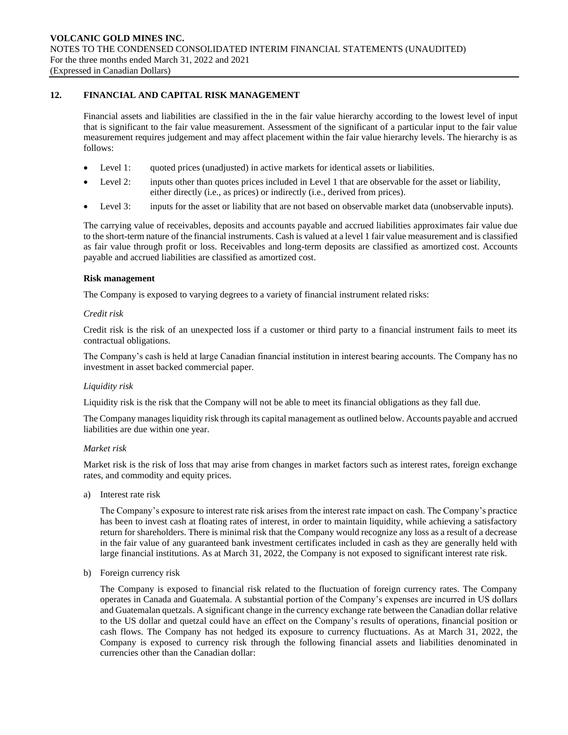## **12. FINANCIAL AND CAPITAL RISK MANAGEMENT**

Financial assets and liabilities are classified in the in the fair value hierarchy according to the lowest level of input that is significant to the fair value measurement. Assessment of the significant of a particular input to the fair value measurement requires judgement and may affect placement within the fair value hierarchy levels. The hierarchy is as follows:

- Level 1: quoted prices (unadjusted) in active markets for identical assets or liabilities.
- Level 2: inputs other than quotes prices included in Level 1 that are observable for the asset or liability, either directly (i.e., as prices) or indirectly (i.e., derived from prices).
- Level 3: inputs for the asset or liability that are not based on observable market data (unobservable inputs).

The carrying value of receivables, deposits and accounts payable and accrued liabilities approximates fair value due to the short-term nature of the financial instruments. Cash is valued at a level 1 fair value measurement and is classified as fair value through profit or loss. Receivables and long-term deposits are classified as amortized cost. Accounts payable and accrued liabilities are classified as amortized cost.

## **Risk management**

The Company is exposed to varying degrees to a variety of financial instrument related risks:

## *Credit risk*

Credit risk is the risk of an unexpected loss if a customer or third party to a financial instrument fails to meet its contractual obligations.

The Company's cash is held at large Canadian financial institution in interest bearing accounts. The Company has no investment in asset backed commercial paper.

## *Liquidity risk*

Liquidity risk is the risk that the Company will not be able to meet its financial obligations as they fall due.

The Company manages liquidity risk through its capital management as outlined below. Accounts payable and accrued liabilities are due within one year.

## *Market risk*

Market risk is the risk of loss that may arise from changes in market factors such as interest rates, foreign exchange rates, and commodity and equity prices.

a) Interest rate risk

The Company's exposure to interest rate risk arises from the interest rate impact on cash. The Company's practice has been to invest cash at floating rates of interest, in order to maintain liquidity, while achieving a satisfactory return for shareholders. There is minimal risk that the Company would recognize any loss as a result of a decrease in the fair value of any guaranteed bank investment certificates included in cash as they are generally held with large financial institutions. As at March 31, 2022, the Company is not exposed to significant interest rate risk.

b) Foreign currency risk

The Company is exposed to financial risk related to the fluctuation of foreign currency rates. The Company operates in Canada and Guatemala. A substantial portion of the Company's expenses are incurred in US dollars and Guatemalan quetzals. A significant change in the currency exchange rate between the Canadian dollar relative to the US dollar and quetzal could have an effect on the Company's results of operations, financial position or cash flows. The Company has not hedged its exposure to currency fluctuations. As at March 31, 2022, the Company is exposed to currency risk through the following financial assets and liabilities denominated in currencies other than the Canadian dollar: